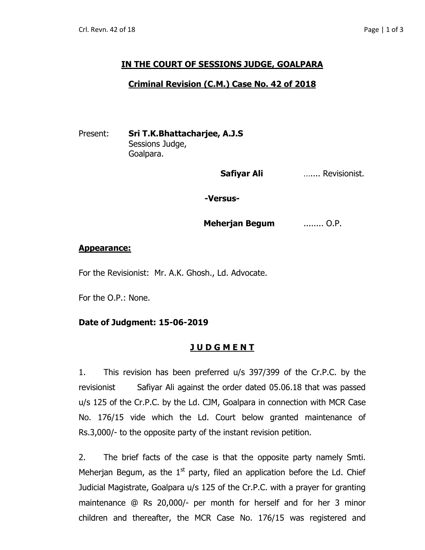# **IN THE COURT OF SESSIONS JUDGE, GOALPARA**

#### **Criminal Revision (C.M.) Case No. 42 of 2018**

Present: **Sri T.K.Bhattacharjee, A.J.S** Sessions Judge, Goalpara.

 **Safiyar Ali** ….... Revisionist.

**-Versus-**

**Meherjan Begum** ........ O.P.

#### **Appearance:**

For the Revisionist: Mr. A.K. Ghosh., Ld. Advocate.

For the O.P.: None.

## **Date of Judgment: 15-06-2019**

## **J U D G M E N T**

1. This revision has been preferred u/s 397/399 of the Cr.P.C. by the revisionistSafiyar Ali against the order dated 05.06.18 that was passed u/s 125 of the Cr.P.C. by the Ld. CJM, Goalpara in connection with MCR Case No. 176/15 vide which the Ld. Court below granted maintenance of Rs.3,000/- to the opposite party of the instant revision petition.

2. The brief facts of the case is that the opposite party namely Smti. Meherjan Begum, as the  $1<sup>st</sup>$  party, filed an application before the Ld. Chief Judicial Magistrate, Goalpara u/s 125 of the Cr.P.C. with a prayer for granting maintenance @ Rs 20,000/- per month for herself and for her 3 minor children and thereafter, the MCR Case No. 176/15 was registered and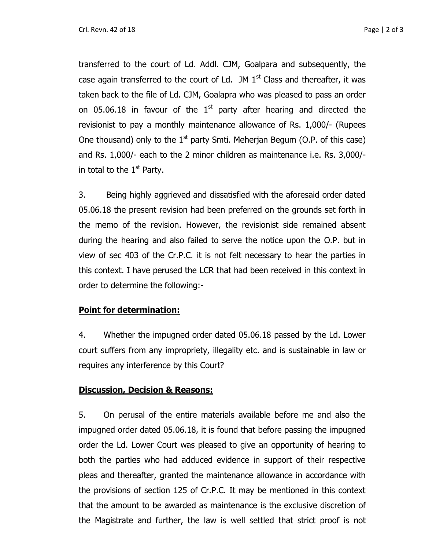transferred to the court of Ld. Addl. CJM, Goalpara and subsequently, the case again transferred to the court of Ld. JM  $1<sup>st</sup>$  Class and thereafter, it was taken back to the file of Ld. CJM, Goalapra who was pleased to pass an order on 05.06.18 in favour of the  $1<sup>st</sup>$  party after hearing and directed the revisionist to pay a monthly maintenance allowance of Rs. 1,000/- (Rupees One thousand) only to the  $1<sup>st</sup>$  party Smti. Meherjan Begum (O.P. of this case) and Rs. 1,000/- each to the 2 minor children as maintenance i.e. Rs. 3,000/ in total to the  $1<sup>st</sup>$  Party.

3. Being highly aggrieved and dissatisfied with the aforesaid order dated 05.06.18 the present revision had been preferred on the grounds set forth in the memo of the revision. However, the revisionist side remained absent during the hearing and also failed to serve the notice upon the O.P. but in view of sec 403 of the Cr.P.C. it is not felt necessary to hear the parties in this context. I have perused the LCR that had been received in this context in order to determine the following:-

## **Point for determination:**

4. Whether the impugned order dated 05.06.18 passed by the Ld. Lower court suffers from any impropriety, illegality etc. and is sustainable in law or requires any interference by this Court?

## **Discussion, Decision & Reasons:**

5. On perusal of the entire materials available before me and also the impugned order dated 05.06.18, it is found that before passing the impugned order the Ld. Lower Court was pleased to give an opportunity of hearing to both the parties who had adduced evidence in support of their respective pleas and thereafter, granted the maintenance allowance in accordance with the provisions of section 125 of Cr.P.C. It may be mentioned in this context that the amount to be awarded as maintenance is the exclusive discretion of the Magistrate and further, the law is well settled that strict proof is not